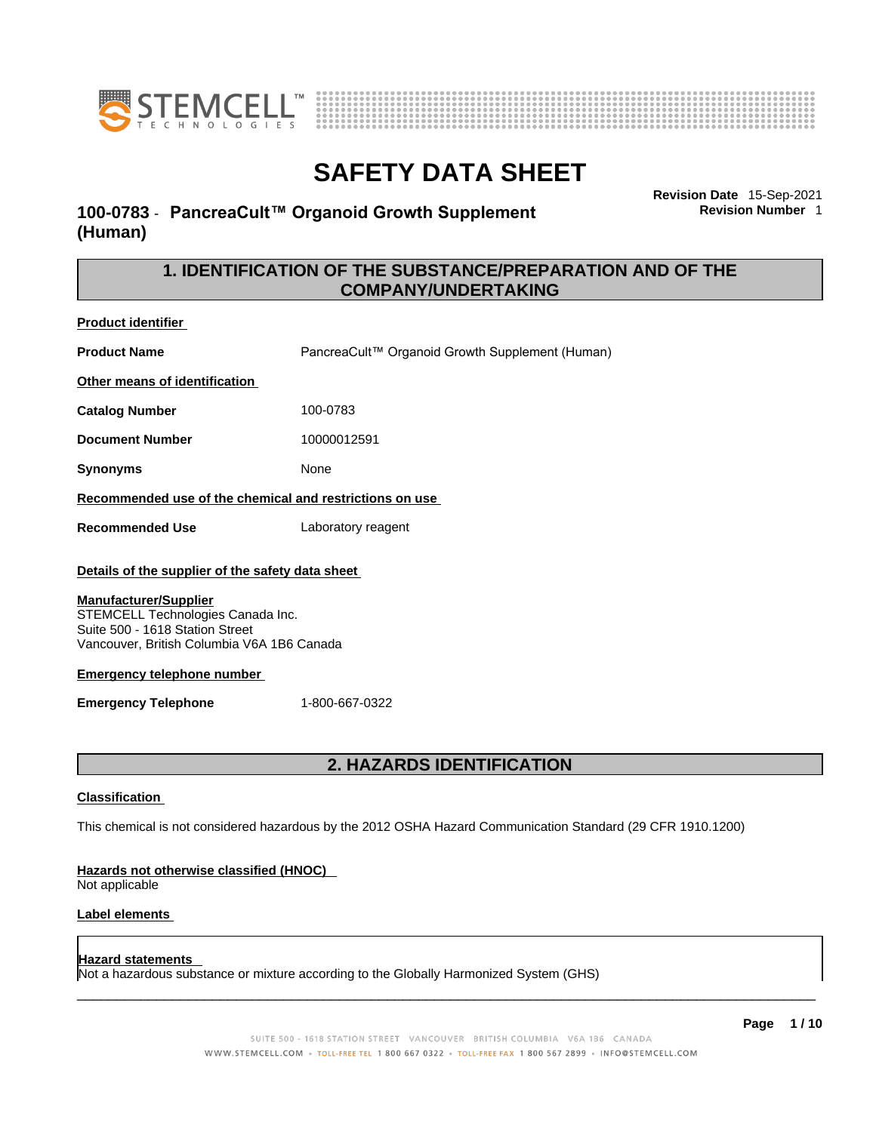



**Revision Date** 15-Sep-2021

**Revision Number** 1

# **SAFETY DATA SHEET**

### **100-0783** - **PancreaCult™ Organoid Growth Supplement (Human)**

**1. IDENTIFICATION OF THE SUBSTANCE/PREPARATION AND OF THE COMPANY/UNDERTAKING** 

**Product identifier**

**Product Name** PancreaCult™ Organoid Growth Supplement (Human) **Other means of identification Catalog Number** 100-0783

**Document Number** 10000012591

**Synonyms** None

#### **Recommended use of the chemical and restrictions on use**

**Recommended Use** Laboratory reagent

#### **Details of the supplier of the safety data sheet**

#### **Manufacturer/Supplier**

STEMCELL Technologies Canada Inc. Suite 500 - 1618 Station Street Vancouver, British Columbia V6A 1B6 Canada

#### **Emergency telephone number**

**Emergency Telephone** 1-800-667-0322

### **2. HAZARDS IDENTIFICATION**

#### **Classification**

This chemical is not considered hazardous by the 2012 OSHA Hazard Communication Standard (29 CFR 1910.1200)

#### **Hazards not otherwise classified (HNOC)**

Not applicable

#### **Label elements**

#### **Hazard statements**

Not a hazardous substance or mixture according to the Globally Harmonized System (GHS)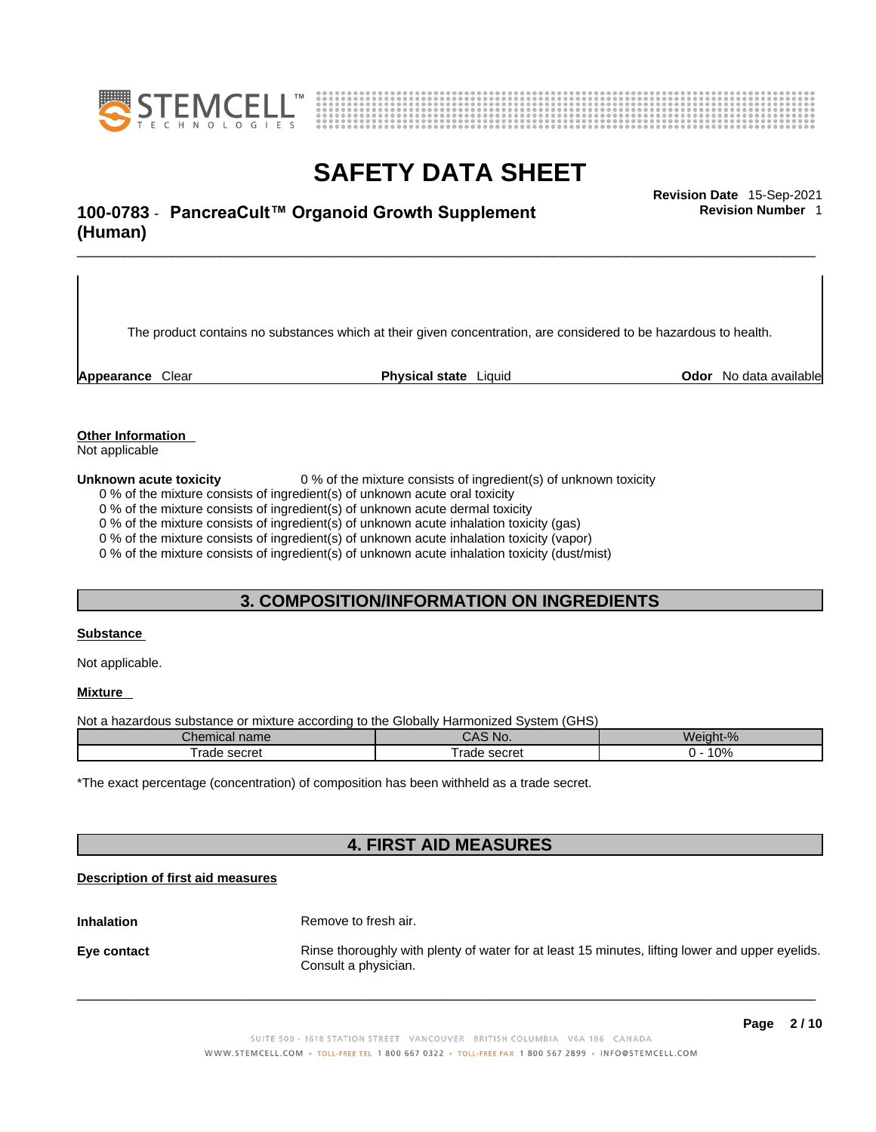



### \_\_\_\_\_\_\_\_\_\_\_\_\_\_\_\_\_\_\_\_\_\_\_\_\_\_\_\_\_\_\_\_\_\_\_\_\_\_\_\_\_\_\_\_\_\_\_\_\_\_\_\_\_\_\_\_\_\_\_\_\_\_\_\_\_\_\_\_\_\_\_\_\_\_\_\_\_\_\_\_\_\_\_\_\_\_\_\_\_\_\_\_\_ **Revision Date** 15-Sep-2021 **100-0783** - **PancreaCult™ Organoid Growth Supplement (Human)**

The product contains no substances which at their given concentration, are considered to be hazardous to health.

**Appearance** Clear **Physical state** Liquid **Odor** No data available

**Revision Number** 1

**Other Information** 

Not applicable

**Unknown acute toxicity** 0 % of the mixture consists of ingredient(s) of unknown toxicity

0 % of the mixture consists of ingredient(s) of unknown acute oral toxicity

0 % of the mixture consists of ingredient(s) of unknown acute dermal toxicity

0 % of the mixture consists of ingredient(s) of unknown acute inhalation toxicity (gas)

0 % of the mixture consists of ingredient(s) of unknown acute inhalation toxicity (vapor)

0 % of the mixture consists of ingredient(s) of unknown acute inhalation toxicity (dust/mist)

### **3. COMPOSITION/INFORMATION ON INGREDIENTS**

#### **Substance**

Not applicable.

#### **Mixture**

Not a hazardous substance or mixture according to the Globally Harmonized System (GHS)

| Chemical name              | NO.<br>uno.                        | Weight-% |
|----------------------------|------------------------------------|----------|
| Trade secret<br>$.$ coorat | c∆or∆t<br>$\sim$<br>seulel<br>Taut | 10%      |

\*The exact percentage (concentration) of composition has been withheld as a trade secret.

### **4. FIRST AID MEASURES**

#### **Description of first aid measures**

**Inhalation** Remove to fresh air. **Eye contact Rinse thoroughly with plenty of water for at least 15 minutes, lifting lower and upper eyelids.** Consult a physician.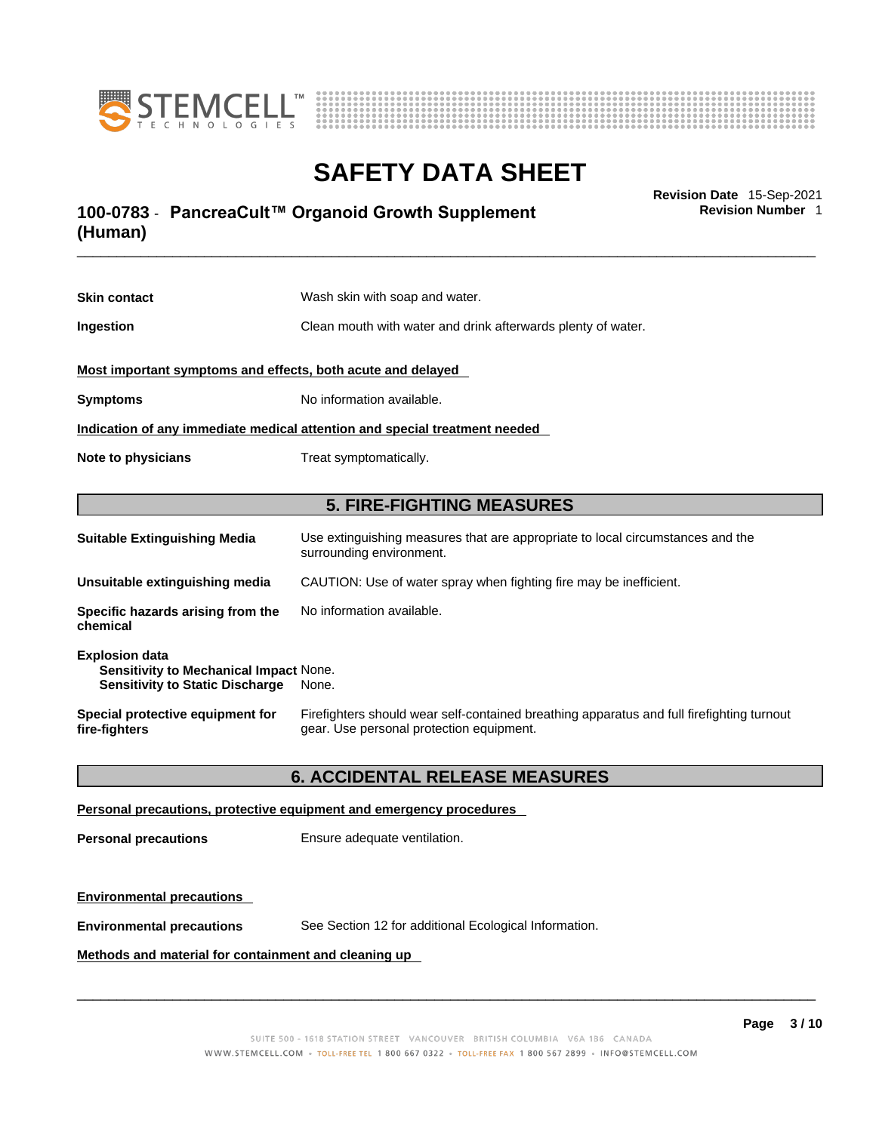



### \_\_\_\_\_\_\_\_\_\_\_\_\_\_\_\_\_\_\_\_\_\_\_\_\_\_\_\_\_\_\_\_\_\_\_\_\_\_\_\_\_\_\_\_\_\_\_\_\_\_\_\_\_\_\_\_\_\_\_\_\_\_\_\_\_\_\_\_\_\_\_\_\_\_\_\_\_\_\_\_\_\_\_\_\_\_\_\_\_\_\_\_\_ **Revision Date** 15-Sep-2021 **100-0783** - **PancreaCult™ Organoid Growth Supplement (Human)**

**Skin contact** Wash skin with soap and water. **Ingestion Clean mouth with water and drink afterwards plenty of water. Most important symptoms and effects, both acute and delayed Symptoms** No information available. **Indication of any immediate medical attention and special treatment needed Note to physicians** Treat symptomatically. **5. FIRE-FIGHTING MEASURES Suitable Extinguishing Media** Use extinguishing measures that are appropriate to local circumstances and the surrounding environment. **Unsuitable extinguishing media** CAUTION: Use of water spray when fighting fire may be inefficient. **Specific hazards arising from the** No information available.

**chemical Explosion data Sensitivity to Mechanical Impact** None. **Sensitivity to Static Discharge** None. **Special protective equipment for fire-fighters** Firefighters should wear self-contained breathing apparatus and full firefighting turnout gear. Use personal protection equipment.

#### **6. ACCIDENTAL RELEASE MEASURES**

#### **Personal precautions, protective equipment and emergency procedures**

**Personal precautions** Ensure adequate ventilation.

#### **Environmental precautions**

**Environmental precautions** See Section 12 for additional Ecological Information.

**Methods and material for containment and cleaning up**

 $\_$  ,  $\_$  ,  $\_$  ,  $\_$  ,  $\_$  ,  $\_$  ,  $\_$  ,  $\_$  ,  $\_$  ,  $\_$  ,  $\_$  ,  $\_$  ,  $\_$  ,  $\_$  ,  $\_$  ,  $\_$  ,  $\_$  ,  $\_$  ,  $\_$  ,  $\_$  ,  $\_$  ,  $\_$  ,  $\_$  ,  $\_$  ,  $\_$  ,  $\_$  ,  $\_$  ,  $\_$  ,  $\_$  ,  $\_$  ,  $\_$  ,  $\_$  ,  $\_$  ,  $\_$  ,  $\_$  ,  $\_$  ,  $\_$  ,

**Revision Number** 1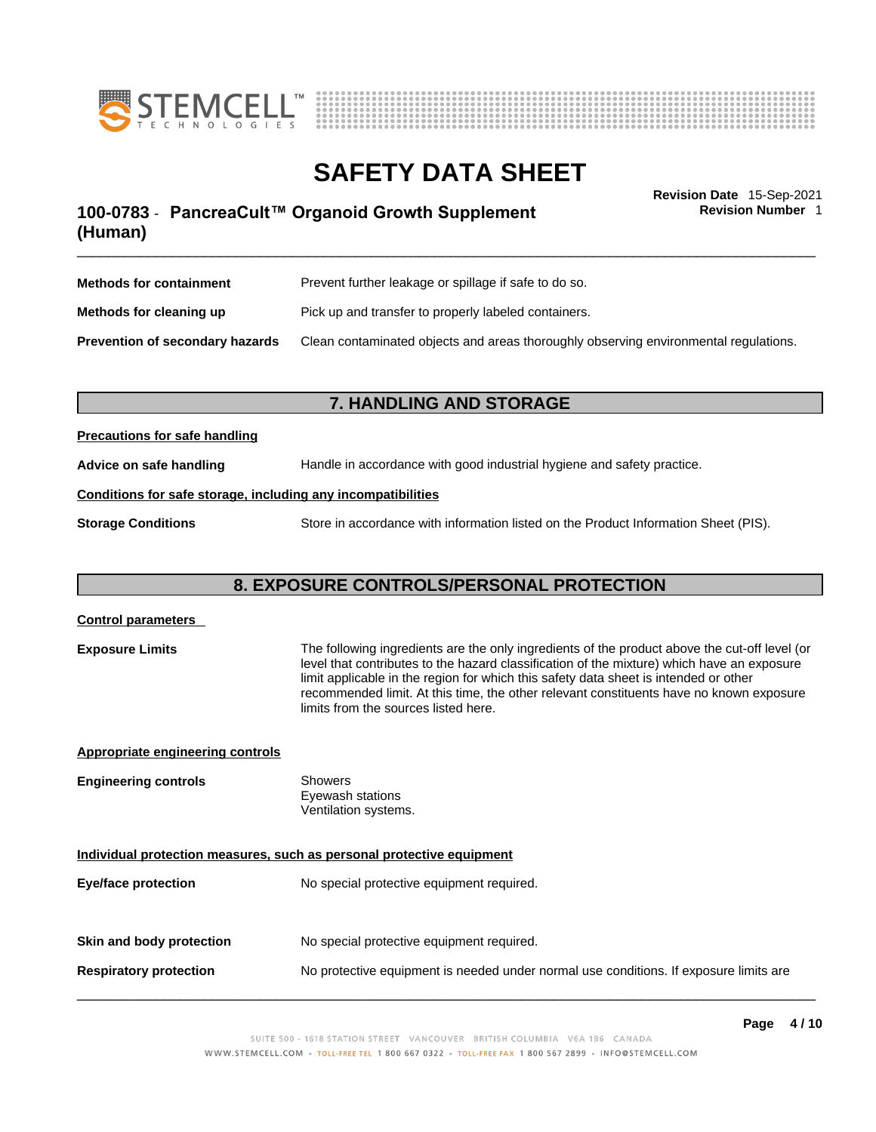



**Revision Number** 1

### \_\_\_\_\_\_\_\_\_\_\_\_\_\_\_\_\_\_\_\_\_\_\_\_\_\_\_\_\_\_\_\_\_\_\_\_\_\_\_\_\_\_\_\_\_\_\_\_\_\_\_\_\_\_\_\_\_\_\_\_\_\_\_\_\_\_\_\_\_\_\_\_\_\_\_\_\_\_\_\_\_\_\_\_\_\_\_\_\_\_\_\_\_ **Revision Date** 15-Sep-2021 **100-0783** - **PancreaCult™ Organoid Growth Supplement (Human)**

| <b>Methods for containment</b>         | Prevent further leakage or spillage if safe to do so.                                |
|----------------------------------------|--------------------------------------------------------------------------------------|
| Methods for cleaning up                | Pick up and transfer to properly labeled containers.                                 |
| <b>Prevention of secondary hazards</b> | Clean contaminated objects and areas thoroughly observing environmental regulations. |

### **7. HANDLING AND STORAGE**

#### **Precautions for safe handling**

**Advice on safe handling** Handle in accordance with good industrial hygiene and safety practice.

#### **Conditions for safe storage, including any incompatibilities**

**Storage Conditions** Store in accordance with information listed on the Product Information Sheet (PIS).

### **8. EXPOSURE CONTROLS/PERSONAL PROTECTION**

| <b>Control parameters</b>                                             |                                                                                                                                                                                                                                                                                                                                                                                                                        |
|-----------------------------------------------------------------------|------------------------------------------------------------------------------------------------------------------------------------------------------------------------------------------------------------------------------------------------------------------------------------------------------------------------------------------------------------------------------------------------------------------------|
| <b>Exposure Limits</b>                                                | The following ingredients are the only ingredients of the product above the cut-off level (or<br>level that contributes to the hazard classification of the mixture) which have an exposure<br>limit applicable in the region for which this safety data sheet is intended or other<br>recommended limit. At this time, the other relevant constituents have no known exposure<br>limits from the sources listed here. |
| <b>Appropriate engineering controls</b>                               |                                                                                                                                                                                                                                                                                                                                                                                                                        |
| <b>Engineering controls</b>                                           | <b>Showers</b><br>Eyewash stations<br>Ventilation systems.                                                                                                                                                                                                                                                                                                                                                             |
| Individual protection measures, such as personal protective equipment |                                                                                                                                                                                                                                                                                                                                                                                                                        |
| <b>Eye/face protection</b>                                            | No special protective equipment required.                                                                                                                                                                                                                                                                                                                                                                              |
| Skin and body protection                                              | No special protective equipment required.                                                                                                                                                                                                                                                                                                                                                                              |
| <b>Respiratory protection</b>                                         | No protective equipment is needed under normal use conditions. If exposure limits are                                                                                                                                                                                                                                                                                                                                  |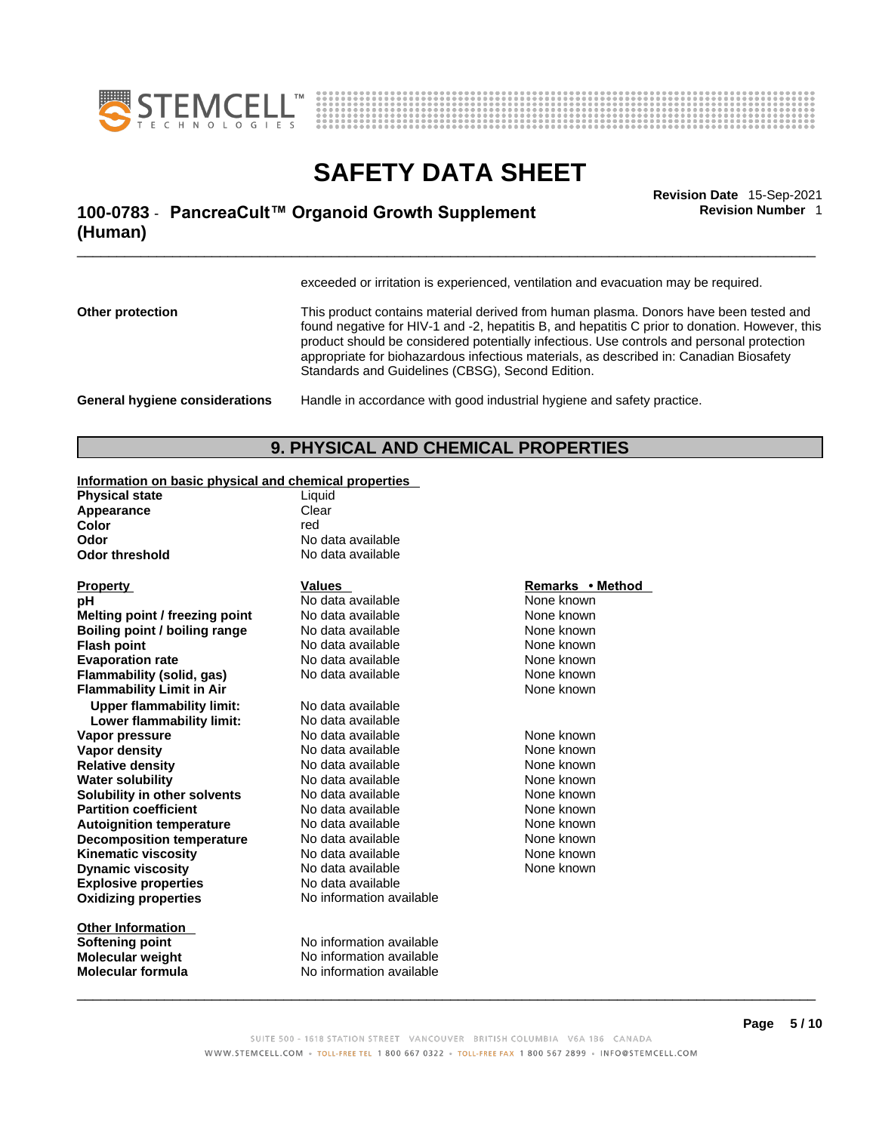



### \_\_\_\_\_\_\_\_\_\_\_\_\_\_\_\_\_\_\_\_\_\_\_\_\_\_\_\_\_\_\_\_\_\_\_\_\_\_\_\_\_\_\_\_\_\_\_\_\_\_\_\_\_\_\_\_\_\_\_\_\_\_\_\_\_\_\_\_\_\_\_\_\_\_\_\_\_\_\_\_\_\_\_\_\_\_\_\_\_\_\_\_\_ **Revision Date** 15-Sep-2021 **100-0783** - **PancreaCult™ Organoid Growth Supplement (Human)**

**Revision Number** 1

exceeded or irritation is experienced, ventilation and evacuation may be required.

**Other protection** This product contains material derived from human plasma. Donors have been tested and found negative for HIV-1 and -2, hepatitis B, and hepatitis C prior to donation. However, this product should be considered potentially infectious. Use controls and personal protection appropriate for biohazardous infectious materials, as described in: Canadian Biosafety Standards and Guidelines (CBSG), Second Edition.

**General hygiene considerations** Handle in accordance with good industrial hygiene and safety practice.

### **9. PHYSICAL AND CHEMICAL PROPERTIES**

#### **Information on basic physical and chemical properties**

| Liquid            |
|-------------------|
| Clear             |
| red               |
| No data available |
| No data available |
|                   |

| <b>Property</b>                  | Values                   | Remarks • Method |
|----------------------------------|--------------------------|------------------|
| рH                               | No data available        | None known       |
| Melting point / freezing point   | No data available        | None known       |
| Boiling point / boiling range    | No data available        | None known       |
| <b>Flash point</b>               | No data available        | None known       |
| <b>Evaporation rate</b>          | No data available        | None known       |
| Flammability (solid, gas)        | No data available        | None known       |
| <b>Flammability Limit in Air</b> |                          | None known       |
| <b>Upper flammability limit:</b> | No data available        |                  |
| Lower flammability limit:        | No data available        |                  |
| Vapor pressure                   | No data available        | None known       |
| Vapor density                    | No data available        | None known       |
| <b>Relative density</b>          | No data available        | None known       |
| <b>Water solubility</b>          | No data available        | None known       |
| Solubility in other solvents     | No data available        | None known       |
| <b>Partition coefficient</b>     | No data available        | None known       |
| <b>Autoignition temperature</b>  | No data available        | None known       |
| <b>Decomposition temperature</b> | No data available        | None known       |
| <b>Kinematic viscosity</b>       | No data available        | None known       |
| <b>Dynamic viscosity</b>         | No data available        | None known       |
| <b>Explosive properties</b>      | No data available        |                  |
| <b>Oxidizing properties</b>      | No information available |                  |
|                                  |                          |                  |

**Other Information** 

#### **Property Values**<br> **Property Contains Property Algebra**<br> **Rope known**<br> **Rope known Phone and available None known**<br>No data available None known **No data available Book and a book in the set of the set of the set of the set of the set of the set of the set of the set of the set of the set of the set of the set of the set of the set of the set of the set of the set of the set of the Figure 1** None known **No data available None known Fig. 3** No data available None known

**Softening point** No information available **Molecular weight** No information available **Molecular formula** No information available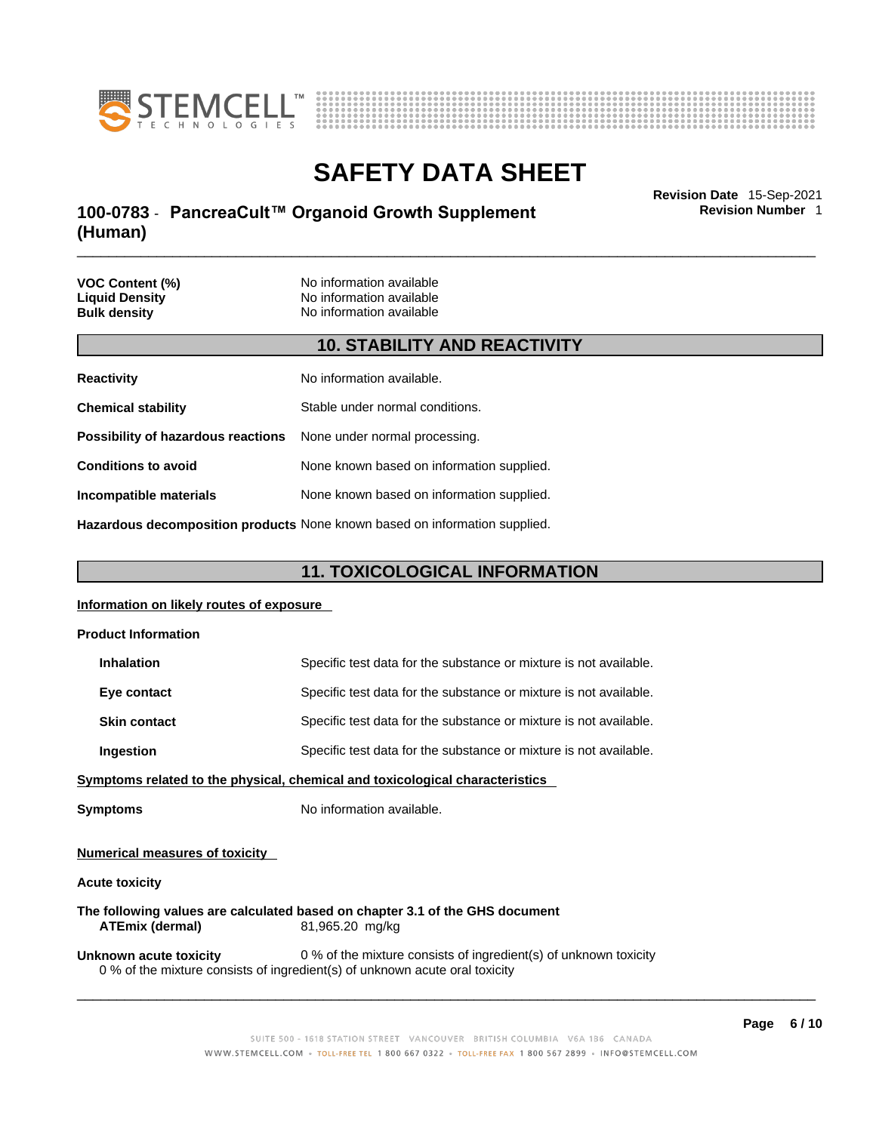



### \_\_\_\_\_\_\_\_\_\_\_\_\_\_\_\_\_\_\_\_\_\_\_\_\_\_\_\_\_\_\_\_\_\_\_\_\_\_\_\_\_\_\_\_\_\_\_\_\_\_\_\_\_\_\_\_\_\_\_\_\_\_\_\_\_\_\_\_\_\_\_\_\_\_\_\_\_\_\_\_\_\_\_\_\_\_\_\_\_\_\_\_\_ **Revision Date** 15-Sep-2021 **100-0783** - **PancreaCult™ Organoid Growth Supplement (Human)**

**Revision Number** 1

| <b>VOC Content (%)</b><br><b>Liquid Density</b><br><b>Bulk density</b> | No information available<br>No information available<br>No information available |
|------------------------------------------------------------------------|----------------------------------------------------------------------------------|
|                                                                        | <b>10. STABILITY AND REACTIVITY</b>                                              |
| <b>Reactivity</b>                                                      | No information available.                                                        |
| <b>Chemical stability</b>                                              | Stable under normal conditions.                                                  |
| Possibility of hazardous reactions                                     | None under normal processing.                                                    |

**Conditions to avoid** None known based on information supplied.

**Incompatible materials** None known based on information supplied.

**Hazardous decomposition products** None known based on information supplied.

### **11. TOXICOLOGICAL INFORMATION**

#### **Information on likely routes of exposure**

| <b>Product Information</b>            |                                                                                                                                                 |
|---------------------------------------|-------------------------------------------------------------------------------------------------------------------------------------------------|
| <b>Inhalation</b>                     | Specific test data for the substance or mixture is not available.                                                                               |
| Eye contact                           | Specific test data for the substance or mixture is not available.                                                                               |
| <b>Skin contact</b>                   | Specific test data for the substance or mixture is not available.                                                                               |
| Ingestion                             | Specific test data for the substance or mixture is not available.                                                                               |
|                                       | <u>Symptoms related to the physical, chemical and toxicological characteristics</u>                                                             |
| <b>Symptoms</b>                       | No information available.                                                                                                                       |
| <b>Numerical measures of toxicity</b> |                                                                                                                                                 |
| <b>Acute toxicity</b>                 |                                                                                                                                                 |
| <b>ATEmix (dermal)</b>                | The following values are calculated based on chapter 3.1 of the GHS document<br>81,965.20 mg/kg                                                 |
| Unknown acute toxicity                | 0 % of the mixture consists of ingredient(s) of unknown toxicity<br>0 % of the mixture consists of ingredient(s) of unknown acute oral toxicity |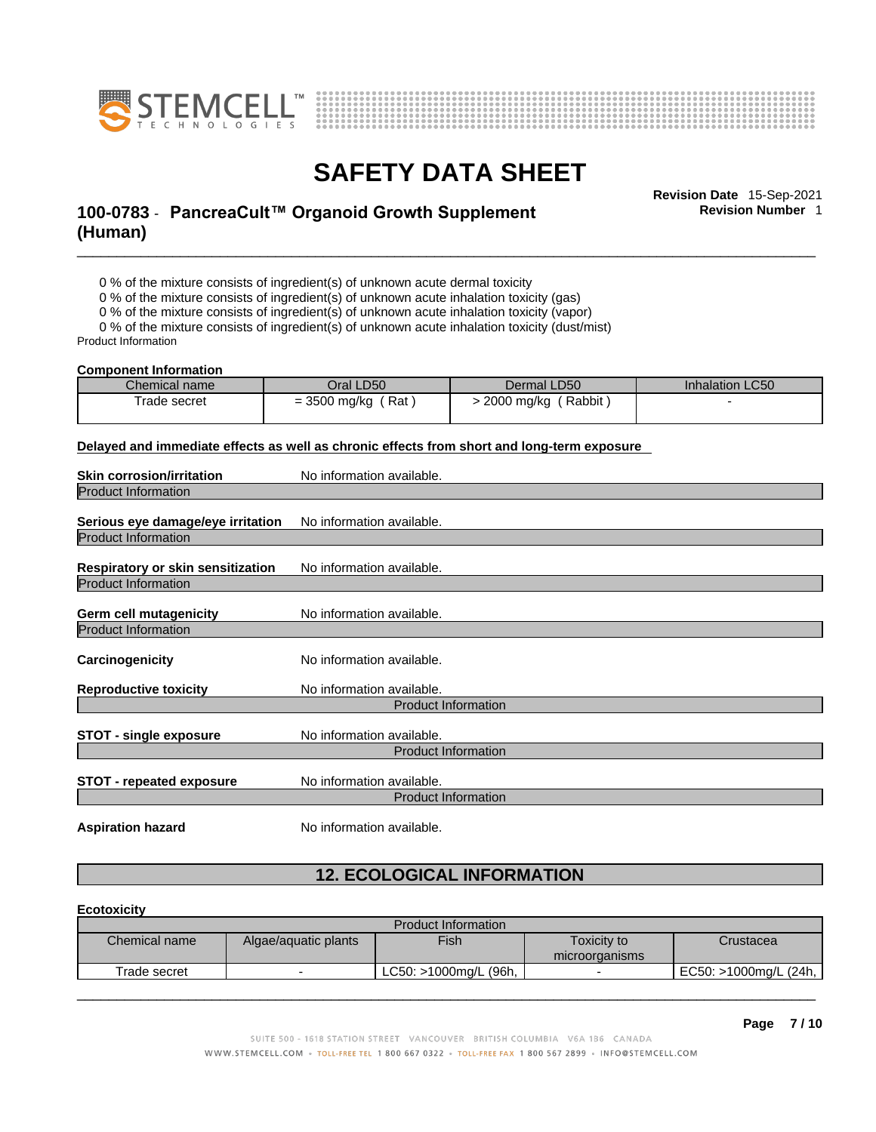



**Revision Number** 1

### \_\_\_\_\_\_\_\_\_\_\_\_\_\_\_\_\_\_\_\_\_\_\_\_\_\_\_\_\_\_\_\_\_\_\_\_\_\_\_\_\_\_\_\_\_\_\_\_\_\_\_\_\_\_\_\_\_\_\_\_\_\_\_\_\_\_\_\_\_\_\_\_\_\_\_\_\_\_\_\_\_\_\_\_\_\_\_\_\_\_\_\_\_ **Revision Date** 15-Sep-2021 **100-0783** - **PancreaCult™ Organoid Growth Supplement (Human)**

0 % of the mixture consists of ingredient(s) of unknown acute dermal toxicity

0 % of the mixture consists of ingredient(s) of unknown acute inhalation toxicity (gas)

0 % of the mixture consists of ingredient(s) of unknown acute inhalation toxicity (vapor)

0 % of the mixture consists of ingredient(s) of unknown acute inhalation toxicity (dust/mist) Product Information

#### **Component Information**

| Chemical name | Oral LD50              | Dermal LD50                       | <b>Inhalation LC50</b> |
|---------------|------------------------|-----------------------------------|------------------------|
| Frade secret  | $= 3500$ mg/kg<br>(Rat | <sup>'</sup> Rabbit<br>2000 mg/kg |                        |
|               |                        |                                   |                        |

**Delayed and immediate effects as well as chronic effects from short and long-term exposure**

| <b>Skin corrosion/irritation</b>  | No information available.  |
|-----------------------------------|----------------------------|
| <b>Product Information</b>        |                            |
| Serious eye damage/eye irritation | No information available.  |
| <b>Product Information</b>        |                            |
| Respiratory or skin sensitization | No information available.  |
| <b>Product Information</b>        |                            |
| Germ cell mutagenicity            | No information available.  |
| <b>Product Information</b>        |                            |
| Carcinogenicity                   | No information available.  |
| <b>Reproductive toxicity</b>      | No information available.  |
|                                   | <b>Product Information</b> |
| <b>STOT - single exposure</b>     | No information available.  |
|                                   | <b>Product Information</b> |
| <b>STOT - repeated exposure</b>   | No information available.  |
|                                   | <b>Product Information</b> |
|                                   |                            |

**Aspiration hazard** No information available.

### **12. ECOLOGICAL INFORMATION**

#### **Ecotoxicity**

| Chemical name |                      |                       |                |                       |
|---------------|----------------------|-----------------------|----------------|-----------------------|
|               | Algae/aquatic plants | <b>Fish</b>           | Toxicity to    | Crustacea             |
|               |                      |                       | microorganisms |                       |
| Trade secret  |                      | LC50: >1000mg/L (96h, | -              | EC50: >1000mg/L (24h, |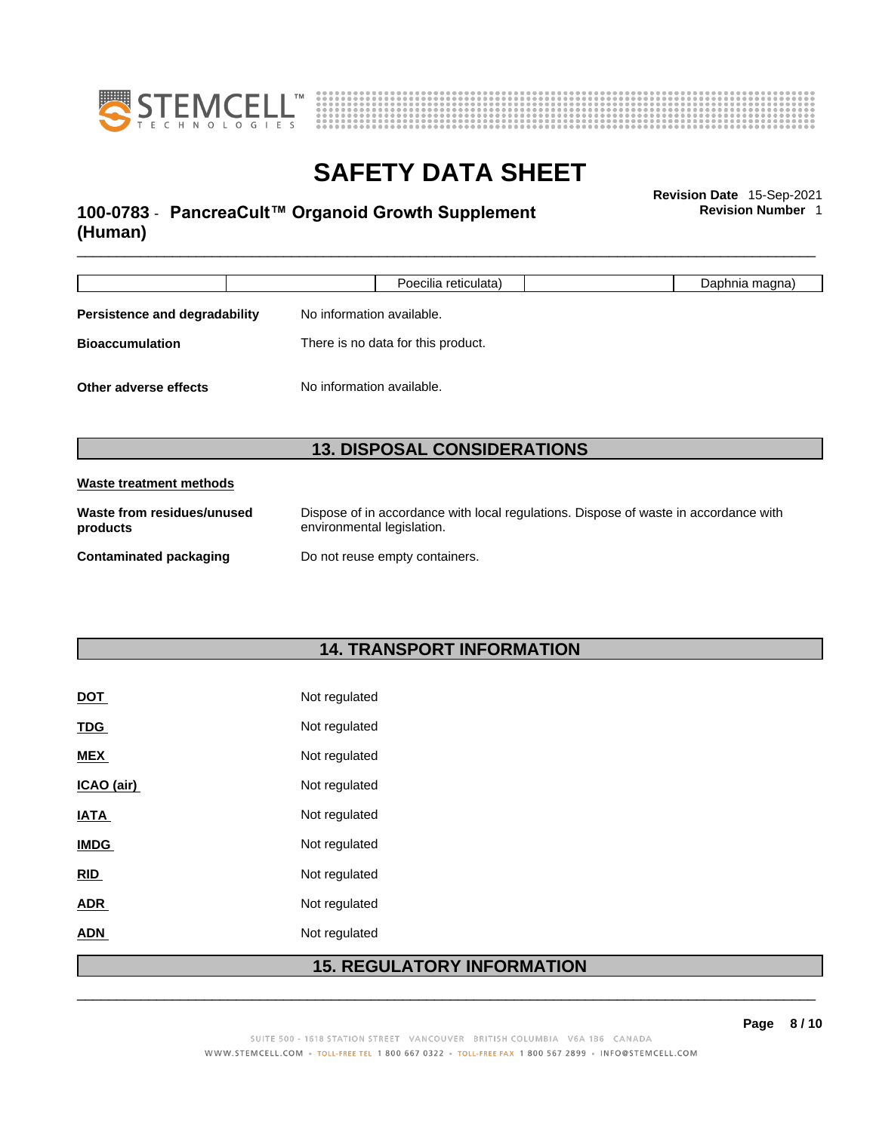



### \_\_\_\_\_\_\_\_\_\_\_\_\_\_\_\_\_\_\_\_\_\_\_\_\_\_\_\_\_\_\_\_\_\_\_\_\_\_\_\_\_\_\_\_\_\_\_\_\_\_\_\_\_\_\_\_\_\_\_\_\_\_\_\_\_\_\_\_\_\_\_\_\_\_\_\_\_\_\_\_\_\_\_\_\_\_\_\_\_\_\_\_\_ **Revision Date** 15-Sep-2021 **100-0783** - **PancreaCult™ Organoid Growth Supplement (Human)**

**Revision Number** 1

|                                                    | Poecilia reticulata)               | Daphnia magna) |  |
|----------------------------------------------------|------------------------------------|----------------|--|
| Persistence and degradability                      | No information available.          |                |  |
| <b>Bioaccumulation</b>                             | There is no data for this product. |                |  |
| No information available.<br>Other adverse effects |                                    |                |  |
|                                                    | <b>13. DISPOSAL CONSIDERATIONS</b> |                |  |

| Waste from residues/unused    | Dispose of in accordance with local regulations. Dispose of waste in accordance with |
|-------------------------------|--------------------------------------------------------------------------------------|
| products                      | environmental legislation.                                                           |
| <b>Contaminated packaging</b> | Do not reuse empty containers.                                                       |

### **14. TRANSPORT INFORMATION**

|             | REGULATOR<br>15. |  |
|-------------|------------------|--|
| <b>ADN</b>  | Not regulated    |  |
| <b>ADR</b>  | Not regulated    |  |
| RID         | Not regulated    |  |
| <b>IMDG</b> | Not regulated    |  |
| <b>IATA</b> | Not regulated    |  |
| ICAO (air)  | Not regulated    |  |
| <b>MEX</b>  | Not regulated    |  |
| <b>TDG</b>  | Not regulated    |  |
| <b>DOT</b>  | Not regulated    |  |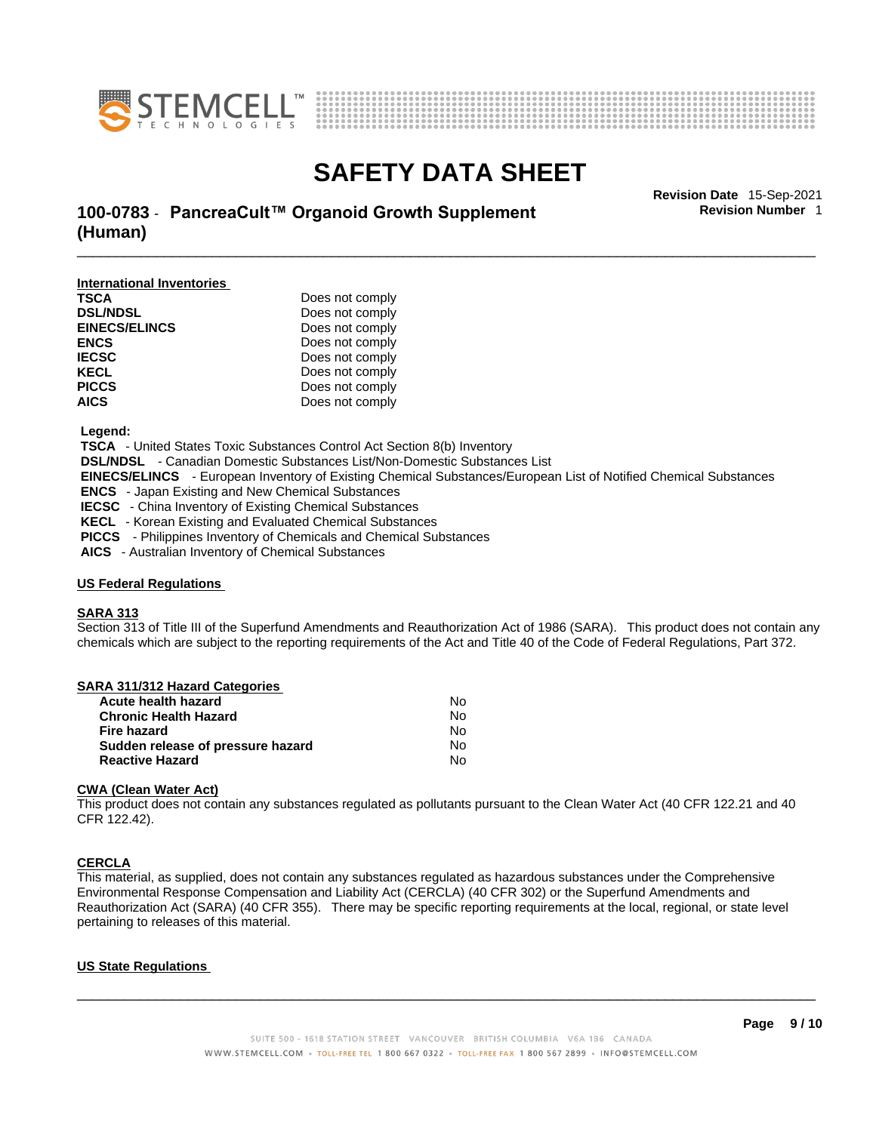



\_\_\_\_\_\_\_\_\_\_\_\_\_\_\_\_\_\_\_\_\_\_\_\_\_\_\_\_\_\_\_\_\_\_\_\_\_\_\_\_\_\_\_\_\_\_\_\_\_\_\_\_\_\_\_\_\_\_\_\_\_\_\_\_\_\_\_\_\_\_\_\_\_\_\_\_\_\_\_\_\_\_\_\_\_\_\_\_\_\_\_\_\_ **Revision Date** 15-Sep-2021 **100-0783** - **PancreaCult™ Organoid Growth Supplement (Human)** 

**Revision Number** 1

**International Inventories TSCA** Does not comply **DSL/NDSL** Does not comply **EINECS/ELINCS** Does not comply **ENCS** Does not comply **IECSC** Does not comply **KECL** Does not comply **PICCS** Does not comply<br>**AICS** Does not comply Does not comply

 **Legend:** 

 **TSCA** - United States Toxic Substances Control Act Section 8(b) Inventory

 **DSL/NDSL** - Canadian Domestic Substances List/Non-Domestic Substances List

 **EINECS/ELINCS** - European Inventory of Existing Chemical Substances/European List of Notified Chemical Substances

 **ENCS** - Japan Existing and New Chemical Substances

 **IECSC** - China Inventory of Existing Chemical Substances

 **KECL** - Korean Existing and Evaluated Chemical Substances

**PICCS** - Philippines Inventory of Chemicals and Chemical Substances

 **AICS** - Australian Inventory of Chemical Substances

#### **US Federal Regulations**

#### **SARA 313**

Section 313 of Title III of the Superfund Amendments and Reauthorization Act of 1986 (SARA). This product does not contain any chemicals which are subject to the reporting requirements of the Act and Title 40 of the Code of Federal Regulations, Part 372.

| SARA 311/312 Hazard Categories    |    |  |
|-----------------------------------|----|--|
| Acute health hazard               | No |  |
| <b>Chronic Health Hazard</b>      | No |  |
| Fire hazard                       | No |  |
| Sudden release of pressure hazard | No |  |
| <b>Reactive Hazard</b>            | No |  |
|                                   |    |  |

#### **CWA** (Clean Water Act)

This product does not contain any substances regulated as pollutants pursuant to the Clean Water Act (40 CFR 122.21 and 40 CFR 122.42).

#### **CERCLA**

This material, as supplied, does not contain any substances regulated as hazardous substances under the Comprehensive Environmental Response Compensation and Liability Act (CERCLA) (40 CFR 302) or the Superfund Amendments and Reauthorization Act (SARA) (40 CFR 355). There may be specific reporting requirements at the local, regional, or state level pertaining to releases of this material.

#### **US State Regulations**